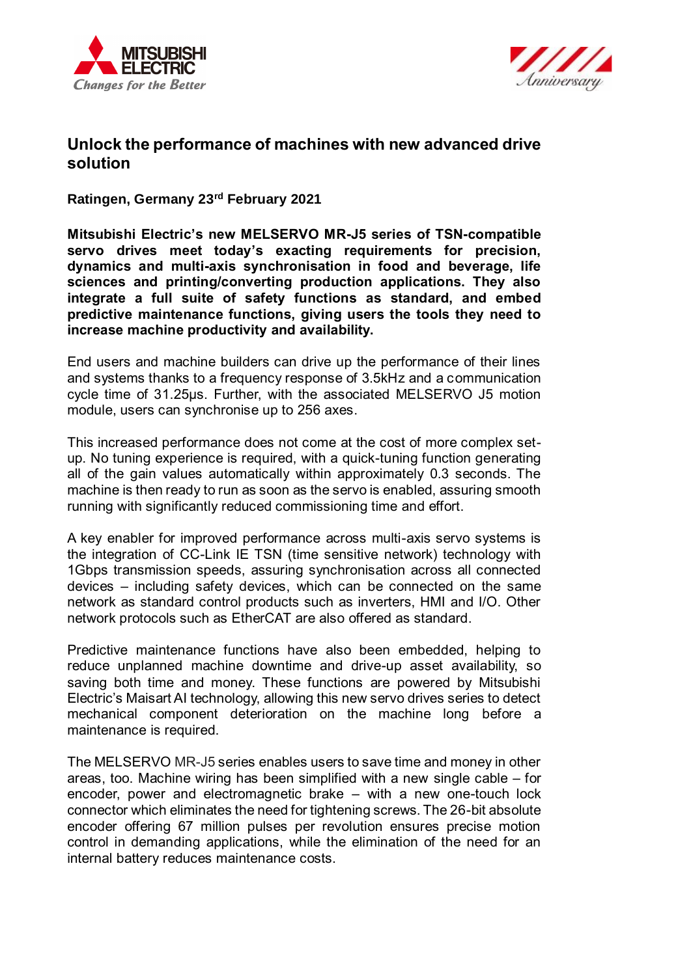



# **Unlock the performance of machines with new advanced drive solution**

**Ratingen, Germany 23rd February 2021** 

**Mitsubishi Electric's new MELSERVO MR-J5 series of TSN-compatible servo drives meet today's exacting requirements for precision, dynamics and multi-axis synchronisation in food and beverage, life sciences and printing/converting production applications. They also integrate a full suite of safety functions as standard, and embed predictive maintenance functions, giving users the tools they need to increase machine productivity and availability.**

End users and machine builders can drive up the performance of their lines and systems thanks to a frequency response of 3.5kHz and a communication cycle time of 31.25µs. Further, with the associated MELSERVO J5 motion module, users can synchronise up to 256 axes.

This increased performance does not come at the cost of more complex setup. No tuning experience is required, with a quick-tuning function generating all of the gain values automatically within approximately 0.3 seconds. The machine is then ready to run as soon as the servo is enabled, assuring smooth running with significantly reduced commissioning time and effort.

A key enabler for improved performance across multi-axis servo systems is the integration of CC-Link IE TSN (time sensitive network) technology with 1Gbps transmission speeds, assuring synchronisation across all connected devices – including safety devices, which can be connected on the same network as standard control products such as inverters, HMI and I/O. Other network protocols such as EtherCAT are also offered as standard.

Predictive maintenance functions have also been embedded, helping to reduce unplanned machine downtime and drive-up asset availability, so saving both time and money. These functions are powered by Mitsubishi Electric's Maisart AI technology, allowing this new servo drives series to detect mechanical component deterioration on the machine long before a maintenance is required.

The MELSERVO [MR-J5](https://eu3a.mitsubishielectric.com/fa/en/products/drv/servo/items/mr_j5/) series enables users to save time and money in other areas, too. Machine wiring has been simplified with a new single cable – for encoder, power and electromagnetic brake – with a new one-touch lock connector which eliminates the need for tightening screws. The 26-bit absolute encoder offering 67 million pulses per revolution ensures precise motion control in demanding applications, while the elimination of the need for an internal battery reduces maintenance costs.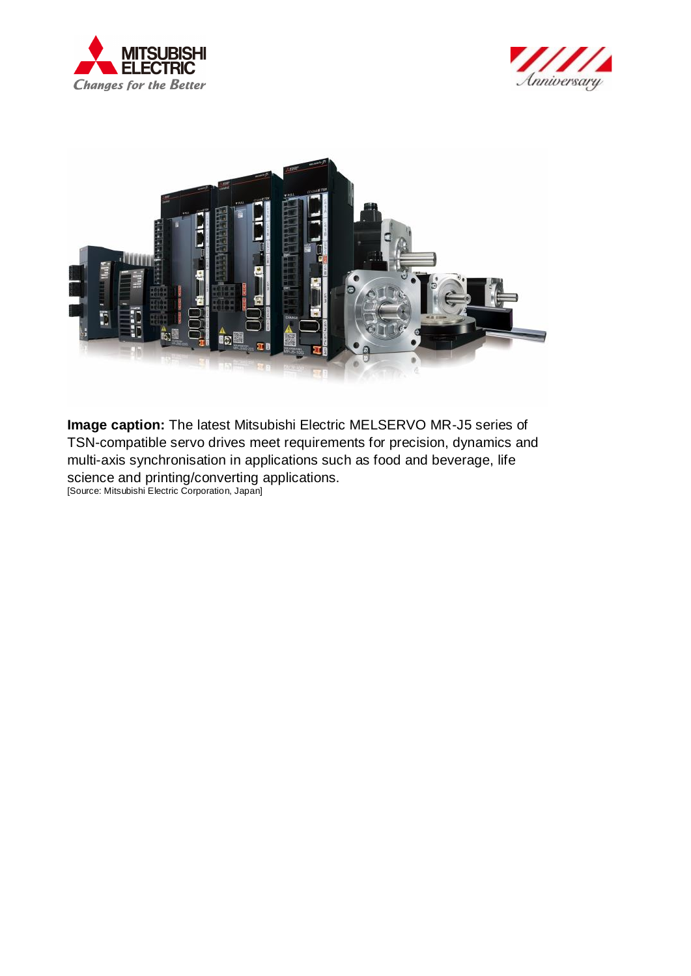





**Image caption:** The latest Mitsubishi Electric MELSERVO MR-J5 series of TSN-compatible servo drives meet requirements for precision, dynamics and multi-axis synchronisation in applications such as food and beverage, life science and printing/converting applications. [Source: Mitsubishi Electric Corporation, Japan]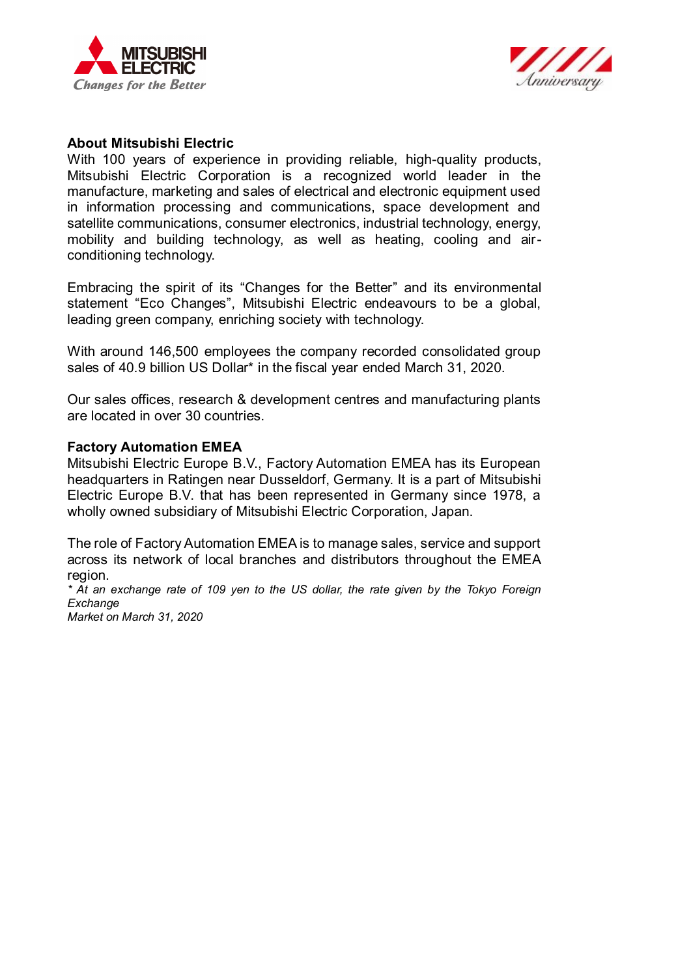



#### **About Mitsubishi Electric**

With 100 years of experience in providing reliable, high-quality products, Mitsubishi Electric Corporation is a recognized world leader in the manufacture, marketing and sales of electrical and electronic equipment used in information processing and communications, space development and satellite communications, consumer electronics, industrial technology, energy, mobility and building technology, as well as heating, cooling and airconditioning technology.

Embracing the spirit of its "Changes for the Better" and its environmental statement "Eco Changes", Mitsubishi Electric endeavours to be a global, leading green company, enriching society with technology.

With around 146,500 employees the company recorded consolidated group sales of 40.9 billion US Dollar\* in the fiscal year ended March 31, 2020.

Our sales offices, research & development centres and manufacturing plants are located in over 30 countries.

#### **Factory Automation EMEA**

Mitsubishi Electric Europe B.V., Factory Automation EMEA has its European headquarters in Ratingen near Dusseldorf, Germany. It is a part of Mitsubishi Electric Europe B.V. that has been represented in Germany since 1978, a wholly owned subsidiary of Mitsubishi Electric Corporation, Japan.

The role of Factory Automation EMEA is to manage sales, service and support across its network of local branches and distributors throughout the EMEA region.

*\* At an exchange rate of 109 yen to the US dollar, the rate given by the Tokyo Foreign Exchange* 

*Market on March 31, 2020*